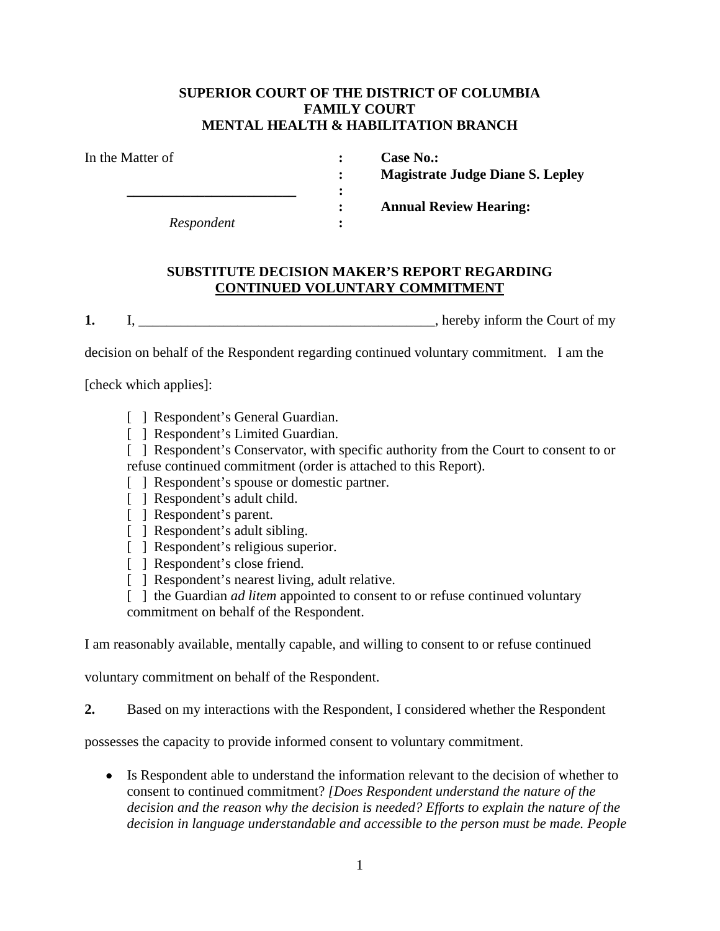## **SUPERIOR COURT OF THE DISTRICT OF COLUMBIA FAMILY COURT MENTAL HEALTH & HABILITATION BRANCH**

| In the Matter of |            |  |
|------------------|------------|--|
|                  |            |  |
|                  |            |  |
|                  |            |  |
|                  | Respondent |  |

**: Case No.: : Magistrate Judge Diane S. Lepley** 

 **: Annual Review Hearing:** 

## **SUBSTITUTE DECISION MAKER'S REPORT REGARDING CONTINUED VOLUNTARY COMMITMENT**

**1.** I, \_\_\_\_\_\_\_\_\_\_\_\_\_\_\_\_\_\_\_\_\_\_\_\_\_\_\_\_\_\_\_\_\_, hereby inform the Court of my

decision on behalf of the Respondent regarding continued voluntary commitment. I am the

[check which applies]:

- [ ] Respondent's General Guardian.
- [ ] Respondent's Limited Guardian.
- [ ] Respondent's Conservator, with specific authority from the Court to consent to or refuse continued commitment (order is attached to this Report).
- [ ] Respondent's spouse or domestic partner.
- [ ] Respondent's adult child.
- [ ] Respondent's parent.
- [ ] Respondent's adult sibling.
- [ ] Respondent's religious superior.
- [ ] Respondent's close friend.
- [ ] Respondent's nearest living, adult relative.
- [ ] the Guardian *ad litem* appointed to consent to or refuse continued voluntary commitment on behalf of the Respondent.

I am reasonably available, mentally capable, and willing to consent to or refuse continued

voluntary commitment on behalf of the Respondent.

**2.** Based on my interactions with the Respondent, I considered whether the Respondent

possesses the capacity to provide informed consent to voluntary commitment.

 Is Respondent able to understand the information relevant to the decision of whether to consent to continued commitment? *[Does Respondent understand the nature of the decision and the reason why the decision is needed? Efforts to explain the nature of the decision in language understandable and accessible to the person must be made. People*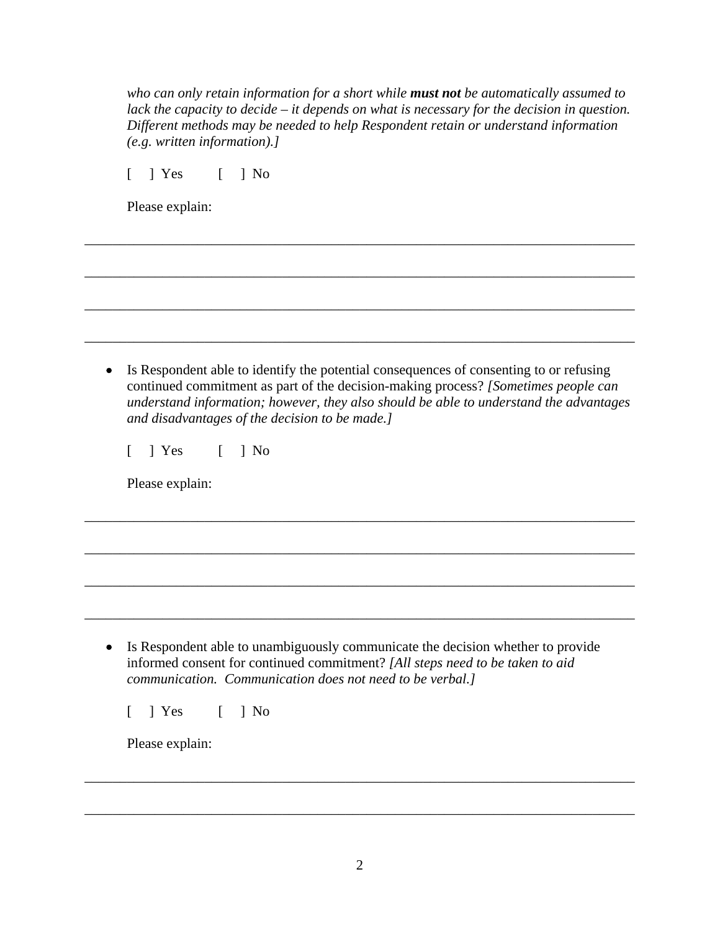*who can only retain information for a short while must not be automatically assumed to lack the capacity to decide – it depends on what is necessary for the decision in question. Different methods may be needed to help Respondent retain or understand information (e.g. written information).]*

[ ] Yes [ ] No

Please explain:

• Is Respondent able to identify the potential consequences of consenting to or refusing continued commitment as part of the decision-making process? *[Sometimes people can understand information; however, they also should be able to understand the advantages and disadvantages of the decision to be made.]* 

\_\_\_\_\_\_\_\_\_\_\_\_\_\_\_\_\_\_\_\_\_\_\_\_\_\_\_\_\_\_\_\_\_\_\_\_\_\_\_\_\_\_\_\_\_\_\_\_\_\_\_\_\_\_\_\_\_\_\_\_\_\_\_\_\_\_\_\_\_\_\_\_\_\_\_\_\_\_

\_\_\_\_\_\_\_\_\_\_\_\_\_\_\_\_\_\_\_\_\_\_\_\_\_\_\_\_\_\_\_\_\_\_\_\_\_\_\_\_\_\_\_\_\_\_\_\_\_\_\_\_\_\_\_\_\_\_\_\_\_\_\_\_\_\_\_\_\_\_\_\_\_\_\_\_\_\_

\_\_\_\_\_\_\_\_\_\_\_\_\_\_\_\_\_\_\_\_\_\_\_\_\_\_\_\_\_\_\_\_\_\_\_\_\_\_\_\_\_\_\_\_\_\_\_\_\_\_\_\_\_\_\_\_\_\_\_\_\_\_\_\_\_\_\_\_\_\_\_\_\_\_\_\_\_\_

\_\_\_\_\_\_\_\_\_\_\_\_\_\_\_\_\_\_\_\_\_\_\_\_\_\_\_\_\_\_\_\_\_\_\_\_\_\_\_\_\_\_\_\_\_\_\_\_\_\_\_\_\_\_\_\_\_\_\_\_\_\_\_\_\_\_\_\_\_\_\_\_\_\_\_\_\_\_

\_\_\_\_\_\_\_\_\_\_\_\_\_\_\_\_\_\_\_\_\_\_\_\_\_\_\_\_\_\_\_\_\_\_\_\_\_\_\_\_\_\_\_\_\_\_\_\_\_\_\_\_\_\_\_\_\_\_\_\_\_\_\_\_\_\_\_\_\_\_\_\_\_\_\_\_\_\_

\_\_\_\_\_\_\_\_\_\_\_\_\_\_\_\_\_\_\_\_\_\_\_\_\_\_\_\_\_\_\_\_\_\_\_\_\_\_\_\_\_\_\_\_\_\_\_\_\_\_\_\_\_\_\_\_\_\_\_\_\_\_\_\_\_\_\_\_\_\_\_\_\_\_\_\_\_\_

\_\_\_\_\_\_\_\_\_\_\_\_\_\_\_\_\_\_\_\_\_\_\_\_\_\_\_\_\_\_\_\_\_\_\_\_\_\_\_\_\_\_\_\_\_\_\_\_\_\_\_\_\_\_\_\_\_\_\_\_\_\_\_\_\_\_\_\_\_\_\_\_\_\_\_\_\_\_

\_\_\_\_\_\_\_\_\_\_\_\_\_\_\_\_\_\_\_\_\_\_\_\_\_\_\_\_\_\_\_\_\_\_\_\_\_\_\_\_\_\_\_\_\_\_\_\_\_\_\_\_\_\_\_\_\_\_\_\_\_\_\_\_\_\_\_\_\_\_\_\_\_\_\_\_\_\_

[ ] Yes [ ] No

Please explain:

 Is Respondent able to unambiguously communicate the decision whether to provide informed consent for continued commitment? *[All steps need to be taken to aid communication. Communication does not need to be verbal.]* 

[ ] Yes [ ] No

Please explain:

\_\_\_\_\_\_\_\_\_\_\_\_\_\_\_\_\_\_\_\_\_\_\_\_\_\_\_\_\_\_\_\_\_\_\_\_\_\_\_\_\_\_\_\_\_\_\_\_\_\_\_\_\_\_\_\_\_\_\_\_\_\_\_\_\_\_\_\_\_\_\_\_\_\_\_\_\_\_

\_\_\_\_\_\_\_\_\_\_\_\_\_\_\_\_\_\_\_\_\_\_\_\_\_\_\_\_\_\_\_\_\_\_\_\_\_\_\_\_\_\_\_\_\_\_\_\_\_\_\_\_\_\_\_\_\_\_\_\_\_\_\_\_\_\_\_\_\_\_\_\_\_\_\_\_\_\_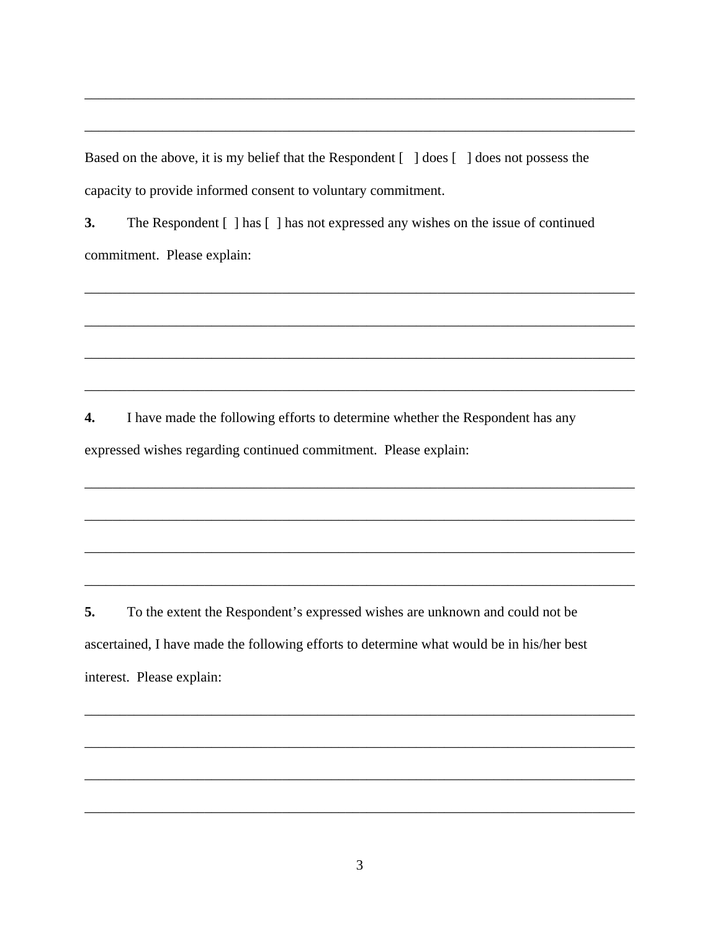Based on the above, it is my belief that the Respondent  $\lceil \cdot \rceil$  does  $\lceil \cdot \rceil$  does not possess the capacity to provide informed consent to voluntary commitment.

\_\_\_\_\_\_\_\_\_\_\_\_\_\_\_\_\_\_\_\_\_\_\_\_\_\_\_\_\_\_\_\_\_\_\_\_\_\_\_\_\_\_\_\_\_\_\_\_\_\_\_\_\_\_\_\_\_\_\_\_\_\_\_\_\_\_\_\_\_\_\_\_\_\_\_\_\_\_

\_\_\_\_\_\_\_\_\_\_\_\_\_\_\_\_\_\_\_\_\_\_\_\_\_\_\_\_\_\_\_\_\_\_\_\_\_\_\_\_\_\_\_\_\_\_\_\_\_\_\_\_\_\_\_\_\_\_\_\_\_\_\_\_\_\_\_\_\_\_\_\_\_\_\_\_\_\_

**3.** The Respondent  $\lceil \cdot \rceil$  has  $\lceil \cdot \rceil$  has not expressed any wishes on the issue of continued commitment. Please explain:

\_\_\_\_\_\_\_\_\_\_\_\_\_\_\_\_\_\_\_\_\_\_\_\_\_\_\_\_\_\_\_\_\_\_\_\_\_\_\_\_\_\_\_\_\_\_\_\_\_\_\_\_\_\_\_\_\_\_\_\_\_\_\_\_\_\_\_\_\_\_\_\_\_\_\_\_\_\_

\_\_\_\_\_\_\_\_\_\_\_\_\_\_\_\_\_\_\_\_\_\_\_\_\_\_\_\_\_\_\_\_\_\_\_\_\_\_\_\_\_\_\_\_\_\_\_\_\_\_\_\_\_\_\_\_\_\_\_\_\_\_\_\_\_\_\_\_\_\_\_\_\_\_\_\_\_\_

\_\_\_\_\_\_\_\_\_\_\_\_\_\_\_\_\_\_\_\_\_\_\_\_\_\_\_\_\_\_\_\_\_\_\_\_\_\_\_\_\_\_\_\_\_\_\_\_\_\_\_\_\_\_\_\_\_\_\_\_\_\_\_\_\_\_\_\_\_\_\_\_\_\_\_\_\_\_

\_\_\_\_\_\_\_\_\_\_\_\_\_\_\_\_\_\_\_\_\_\_\_\_\_\_\_\_\_\_\_\_\_\_\_\_\_\_\_\_\_\_\_\_\_\_\_\_\_\_\_\_\_\_\_\_\_\_\_\_\_\_\_\_\_\_\_\_\_\_\_\_\_\_\_\_\_\_

\_\_\_\_\_\_\_\_\_\_\_\_\_\_\_\_\_\_\_\_\_\_\_\_\_\_\_\_\_\_\_\_\_\_\_\_\_\_\_\_\_\_\_\_\_\_\_\_\_\_\_\_\_\_\_\_\_\_\_\_\_\_\_\_\_\_\_\_\_\_\_\_\_\_\_\_\_\_

\_\_\_\_\_\_\_\_\_\_\_\_\_\_\_\_\_\_\_\_\_\_\_\_\_\_\_\_\_\_\_\_\_\_\_\_\_\_\_\_\_\_\_\_\_\_\_\_\_\_\_\_\_\_\_\_\_\_\_\_\_\_\_\_\_\_\_\_\_\_\_\_\_\_\_\_\_\_

\_\_\_\_\_\_\_\_\_\_\_\_\_\_\_\_\_\_\_\_\_\_\_\_\_\_\_\_\_\_\_\_\_\_\_\_\_\_\_\_\_\_\_\_\_\_\_\_\_\_\_\_\_\_\_\_\_\_\_\_\_\_\_\_\_\_\_\_\_\_\_\_\_\_\_\_\_\_

\_\_\_\_\_\_\_\_\_\_\_\_\_\_\_\_\_\_\_\_\_\_\_\_\_\_\_\_\_\_\_\_\_\_\_\_\_\_\_\_\_\_\_\_\_\_\_\_\_\_\_\_\_\_\_\_\_\_\_\_\_\_\_\_\_\_\_\_\_\_\_\_\_\_\_\_\_\_

\_\_\_\_\_\_\_\_\_\_\_\_\_\_\_\_\_\_\_\_\_\_\_\_\_\_\_\_\_\_\_\_\_\_\_\_\_\_\_\_\_\_\_\_\_\_\_\_\_\_\_\_\_\_\_\_\_\_\_\_\_\_\_\_\_\_\_\_\_\_\_\_\_\_\_\_\_\_

\_\_\_\_\_\_\_\_\_\_\_\_\_\_\_\_\_\_\_\_\_\_\_\_\_\_\_\_\_\_\_\_\_\_\_\_\_\_\_\_\_\_\_\_\_\_\_\_\_\_\_\_\_\_\_\_\_\_\_\_\_\_\_\_\_\_\_\_\_\_\_\_\_\_\_\_\_\_

\_\_\_\_\_\_\_\_\_\_\_\_\_\_\_\_\_\_\_\_\_\_\_\_\_\_\_\_\_\_\_\_\_\_\_\_\_\_\_\_\_\_\_\_\_\_\_\_\_\_\_\_\_\_\_\_\_\_\_\_\_\_\_\_\_\_\_\_\_\_\_\_\_\_\_\_\_\_

\_\_\_\_\_\_\_\_\_\_\_\_\_\_\_\_\_\_\_\_\_\_\_\_\_\_\_\_\_\_\_\_\_\_\_\_\_\_\_\_\_\_\_\_\_\_\_\_\_\_\_\_\_\_\_\_\_\_\_\_\_\_\_\_\_\_\_\_\_\_\_\_\_\_\_\_\_\_

**4.** I have made the following efforts to determine whether the Respondent has any expressed wishes regarding continued commitment. Please explain:

**5.** To the extent the Respondent's expressed wishes are unknown and could not be ascertained, I have made the following efforts to determine what would be in his/her best interest. Please explain: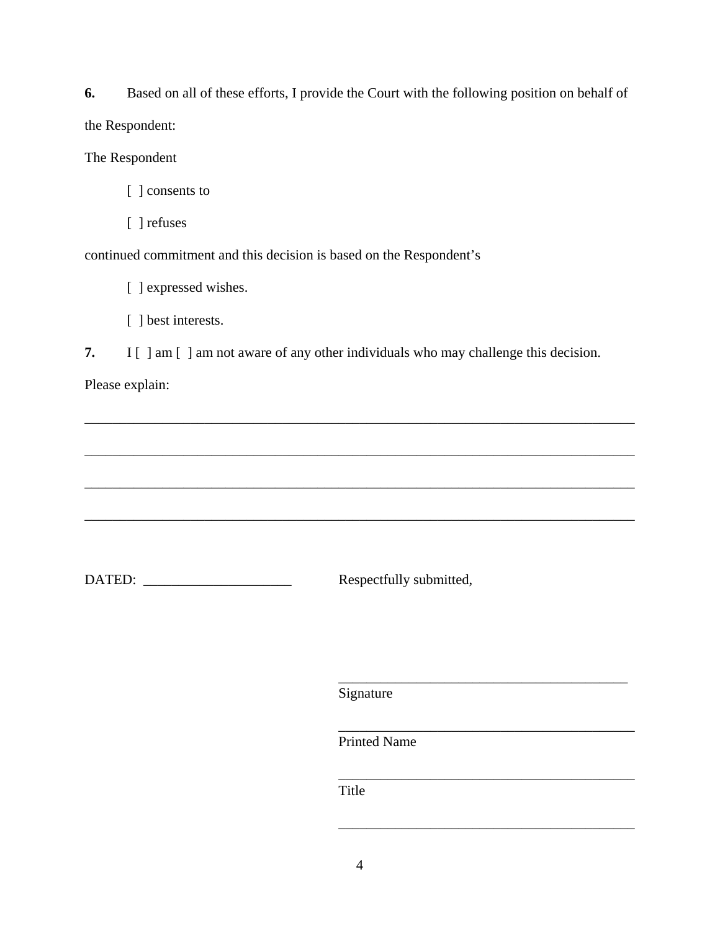**6.** Based on all of these efforts, I provide the Court with the following position on behalf of the Respondent:

The Respondent

[ ] consents to

[ ] refuses

continued commitment and this decision is based on the Respondent's

[ ] expressed wishes.

[ ] best interests.

**7.** I [ ] am [ ] am not aware of any other individuals who may challenge this decision.

\_\_\_\_\_\_\_\_\_\_\_\_\_\_\_\_\_\_\_\_\_\_\_\_\_\_\_\_\_\_\_\_\_\_\_\_\_\_\_\_\_\_\_\_\_\_\_\_\_\_\_\_\_\_\_\_\_\_\_\_\_\_\_\_\_\_\_\_\_\_\_\_\_\_\_\_\_\_

\_\_\_\_\_\_\_\_\_\_\_\_\_\_\_\_\_\_\_\_\_\_\_\_\_\_\_\_\_\_\_\_\_\_\_\_\_\_\_\_\_\_\_\_\_\_\_\_\_\_\_\_\_\_\_\_\_\_\_\_\_\_\_\_\_\_\_\_\_\_\_\_\_\_\_\_\_\_

\_\_\_\_\_\_\_\_\_\_\_\_\_\_\_\_\_\_\_\_\_\_\_\_\_\_\_\_\_\_\_\_\_\_\_\_\_\_\_\_\_\_\_\_\_\_\_\_\_\_\_\_\_\_\_\_\_\_\_\_\_\_\_\_\_\_\_\_\_\_\_\_\_\_\_\_\_\_

\_\_\_\_\_\_\_\_\_\_\_\_\_\_\_\_\_\_\_\_\_\_\_\_\_\_\_\_\_\_\_\_\_\_\_\_\_\_\_\_\_\_\_\_\_\_\_\_\_\_\_\_\_\_\_\_\_\_\_\_\_\_\_\_\_\_\_\_\_\_\_\_\_\_\_\_\_\_

Please explain:

DATED: \_\_\_\_\_\_\_\_\_\_\_\_\_\_\_\_\_\_\_\_\_ Respectfully submitted,

Signature

 $\overline{\phantom{a}}$  , which is a set of the set of the set of the set of the set of the set of the set of the set of the set of the set of the set of the set of the set of the set of the set of the set of the set of the set of th

 $\overline{\phantom{a}}$  , which is a set of the set of the set of the set of the set of the set of the set of the set of the set of the set of the set of the set of the set of the set of the set of the set of the set of the set of th

 $\overline{\phantom{a}}$  , which is a set of the set of the set of the set of the set of the set of the set of the set of the set of the set of the set of the set of the set of the set of the set of the set of the set of the set of th

 $\overline{\phantom{a}}$  , which is a set of the set of the set of the set of the set of the set of the set of the set of the set of the set of the set of the set of the set of the set of the set of the set of the set of the set of th

Printed Name

**Title**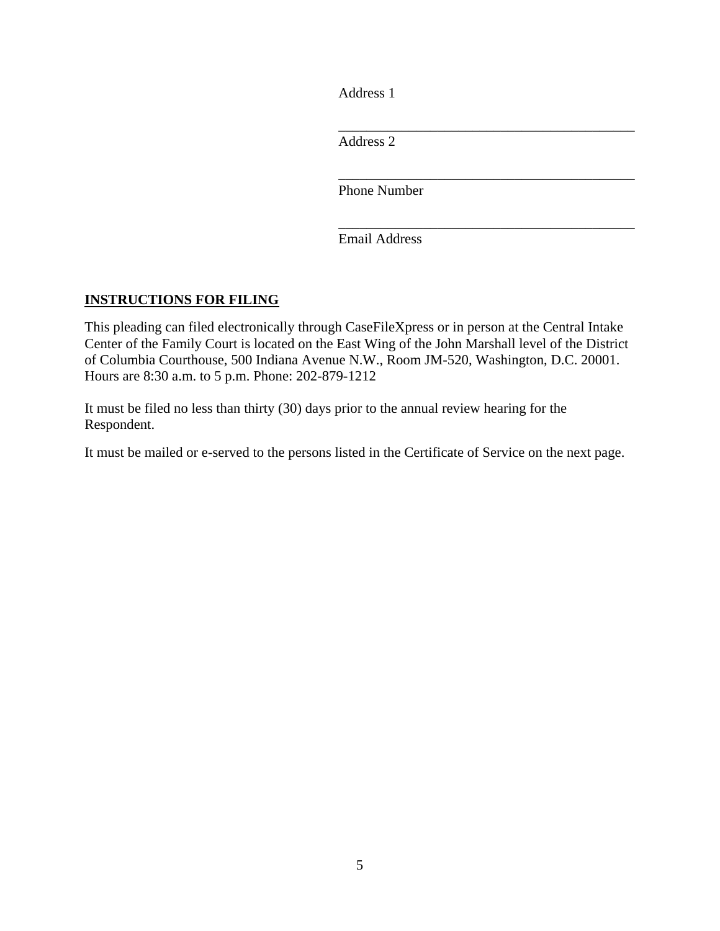Address 1

 $\overline{\phantom{a}}$  , which is a set of the set of the set of the set of the set of the set of the set of the set of the set of the set of the set of the set of the set of the set of the set of the set of the set of the set of th Address 2

 $\overline{\phantom{a}}$  , which is a set of the set of the set of the set of the set of the set of the set of the set of the set of the set of the set of the set of the set of the set of the set of the set of the set of the set of th

 $\overline{\phantom{a}}$  , which is a set of the set of the set of the set of the set of the set of the set of the set of the set of the set of the set of the set of the set of the set of the set of the set of the set of the set of th

Phone Number

Email Address

## **INSTRUCTIONS FOR FILING**

This pleading can filed electronically through CaseFileXpress or in person at the Central Intake Center of the Family Court is located on the East Wing of the John Marshall level of the District of Columbia Courthouse, 500 Indiana Avenue N.W., Room JM-520, Washington, D.C. 20001. Hours are 8:30 a.m. to 5 p.m. Phone: 202-879-1212

It must be filed no less than thirty (30) days prior to the annual review hearing for the Respondent.

It must be mailed or e-served to the persons listed in the Certificate of Service on the next page.